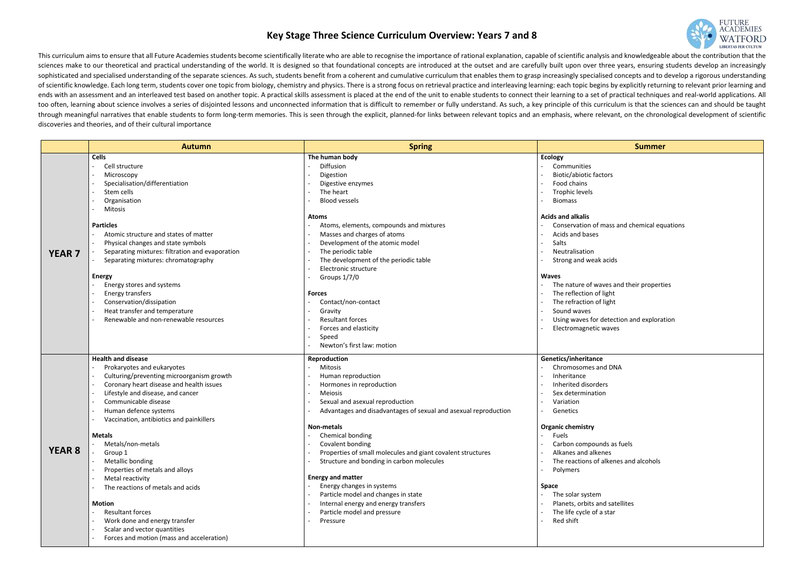## **Key Stage Three Science Curriculum Overview: Years 7 and 8**

This curriculum aims to ensure that all Future Academies students become scientifically literate who are able to recognise the importance of rational explanation, capable of scientific analysis and knowledgeable about the sciences make to our theoretical and practical understanding of the world. It is designed so that foundational concepts are introduced at the outset and are carefully built upon over three years, ensuring students develop sophisticated and specialised understanding of the separate sciences. As such, students benefit from a coherent and cumulative curriculum that enables them to grasp increasingly specialised concepts and to develop a rigoro of scientific knowledge. Each long term, students cover one topic from biology, chemistry and physics. There is a strong focus on retrieval practice and interleaving learning: each topic begins by explicitly returning to r ends with an assessment and an interleaved test based on another topic. A practical skills assessment is placed at the end of the unit to enable students to connect their learning to a set of practical techniques and realtoo often, learning about science involves a series of disjointed lessons and unconnected information that is difficult to remember or fully understand. As such, a key principle of this curriculum is that the sciences can through meaningful narratives that enable students to form long-term memories. This is seen through the explicit, planned-for links between relevant topics and an emphasis, where relevant, on the chronological development discoveries and theories, and of their cultural importance

|                          | <b>Summer</b>                               |  |  |  |  |
|--------------------------|---------------------------------------------|--|--|--|--|
|                          | <b>Ecology</b>                              |  |  |  |  |
| ÷.                       | Communities                                 |  |  |  |  |
| ÷,                       | Biotic/abiotic factors                      |  |  |  |  |
| Ξ.                       | Food chains                                 |  |  |  |  |
| -                        | <b>Trophic levels</b>                       |  |  |  |  |
| -                        | <b>Biomass</b>                              |  |  |  |  |
|                          | Acids and alkalis                           |  |  |  |  |
| -                        | Conservation of mass and chemical equations |  |  |  |  |
| Ξ.                       | Acids and bases                             |  |  |  |  |
| -                        | Salts                                       |  |  |  |  |
| $\overline{\phantom{0}}$ | Neutralisation                              |  |  |  |  |
| $\overline{\phantom{0}}$ | Strong and weak acids                       |  |  |  |  |
|                          | <b>Waves</b>                                |  |  |  |  |
| $\overline{\phantom{0}}$ | The nature of waves and their properties    |  |  |  |  |
| ۳                        | The reflection of light                     |  |  |  |  |
| ۳                        | The refraction of light                     |  |  |  |  |
| -                        | Sound waves                                 |  |  |  |  |
| -                        | Using waves for detection and exploration   |  |  |  |  |
| ۳                        | Electromagnetic waves                       |  |  |  |  |
|                          |                                             |  |  |  |  |
|                          | Genetics/inheritance                        |  |  |  |  |
| Ξ.                       | Chromosomes and DNA                         |  |  |  |  |
| $\blacksquare$           | Inheritance                                 |  |  |  |  |
| -                        | Inherited disorders                         |  |  |  |  |
| Ξ.                       | Sex determination                           |  |  |  |  |
| -                        | Variation                                   |  |  |  |  |
| Ξ.                       | Genetics                                    |  |  |  |  |
|                          |                                             |  |  |  |  |
|                          | <b>Organic chemistry</b><br>Fuels           |  |  |  |  |
|                          | Carbon compounds as fuels                   |  |  |  |  |
|                          | Alkanes and alkenes                         |  |  |  |  |
|                          | The reactions of alkenes and alcohols       |  |  |  |  |
|                          |                                             |  |  |  |  |
|                          | Polymers                                    |  |  |  |  |
|                          | Space                                       |  |  |  |  |
|                          | The solar system                            |  |  |  |  |
|                          | Planets, orbits and satellites              |  |  |  |  |
|                          | The life cycle of a star                    |  |  |  |  |

|               | <b>Autumn</b>                                      | <b>Spring</b>                                                   | <b>Summer</b>                            |
|---------------|----------------------------------------------------|-----------------------------------------------------------------|------------------------------------------|
|               | <b>Cells</b>                                       | The human body                                                  | <b>Ecology</b>                           |
|               | Cell structure                                     | Diffusion                                                       | Communities                              |
|               | Microscopy                                         | Digestion                                                       | <b>Biotic/abiotic factors</b>            |
|               | Specialisation/differentiation                     | Digestive enzymes                                               | Food chains                              |
|               | Stem cells                                         | The heart                                                       | <b>Trophic levels</b>                    |
|               | Organisation                                       | <b>Blood vessels</b>                                            | <b>Biomass</b>                           |
|               | Mitosis                                            |                                                                 |                                          |
|               |                                                    | <b>Atoms</b>                                                    | <b>Acids and alkalis</b>                 |
|               | <b>Particles</b>                                   | Atoms, elements, compounds and mixtures                         | Conservation of mass and chemical equat  |
|               | Atomic structure and states of matter              | Masses and charges of atoms                                     | Acids and bases                          |
|               | Physical changes and state symbols                 | Development of the atomic model                                 | Salts                                    |
| <b>YEAR 7</b> | Separating mixtures: filtration and evaporation    | The periodic table                                              | Neutralisation                           |
|               | Separating mixtures: chromatography                | The development of the periodic table                           | Strong and weak acids                    |
|               |                                                    | Electronic structure                                            |                                          |
|               | <b>Energy</b>                                      | Groups 1/7/0                                                    | <b>Waves</b>                             |
|               | Energy stores and systems                          |                                                                 | The nature of waves and their properties |
|               | Energy transfers                                   | <b>Forces</b>                                                   | The reflection of light                  |
|               | Conservation/dissipation                           | Contact/non-contact                                             | The refraction of light                  |
|               | Heat transfer and temperature                      | Gravity                                                         | Sound waves                              |
|               | Renewable and non-renewable resources              | <b>Resultant forces</b>                                         | Using waves for detection and exploratio |
|               |                                                    | Forces and elasticity                                           | Electromagnetic waves                    |
|               |                                                    | Speed                                                           |                                          |
|               |                                                    | Newton's first law: motion                                      |                                          |
|               | <b>Health and disease</b>                          | Reproduction                                                    | Genetics/inheritance                     |
|               | Prokaryotes and eukaryotes                         | <b>Mitosis</b>                                                  | Chromosomes and DNA                      |
|               | Culturing/preventing microorganism growth          | Human reproduction                                              | Inheritance                              |
|               | Coronary heart disease and health issues<br>$\sim$ | Hormones in reproduction                                        | Inherited disorders                      |
|               | Lifestyle and disease, and cancer                  | <b>Meiosis</b>                                                  | Sex determination                        |
|               | Communicable disease                               | Sexual and asexual reproduction                                 | Variation                                |
|               | Human defence systems                              | Advantages and disadvantages of sexual and asexual reproduction | Genetics                                 |
|               | Vaccination, antibiotics and painkillers           |                                                                 |                                          |
|               |                                                    | <b>Non-metals</b>                                               | <b>Organic chemistry</b>                 |
|               | <b>Metals</b>                                      | Chemical bonding                                                | Fuels                                    |
|               | Metals/non-metals                                  | Covalent bonding                                                | Carbon compounds as fuels                |
| <b>YEAR 8</b> | Group 1                                            | Properties of small molecules and giant covalent structures     | Alkanes and alkenes                      |
|               | Metallic bonding                                   | Structure and bonding in carbon molecules                       | The reactions of alkenes and alcohols    |
|               | Properties of metals and alloys                    |                                                                 | Polymers                                 |
|               | Metal reactivity                                   | <b>Energy and matter</b>                                        |                                          |
|               | The reactions of metals and acids                  | Energy changes in systems                                       | <b>Space</b>                             |
|               |                                                    | Particle model and changes in state                             | The solar system                         |
|               | <b>Motion</b>                                      | Internal energy and energy transfers                            | Planets, orbits and satellites           |
|               | <b>Resultant forces</b>                            | Particle model and pressure                                     | The life cycle of a star                 |
|               | Work done and energy transfer                      | Pressure                                                        | Red shift                                |
|               | Scalar and vector quantities                       |                                                                 |                                          |
|               | Forces and motion (mass and acceleration)          |                                                                 |                                          |
|               |                                                    |                                                                 |                                          |

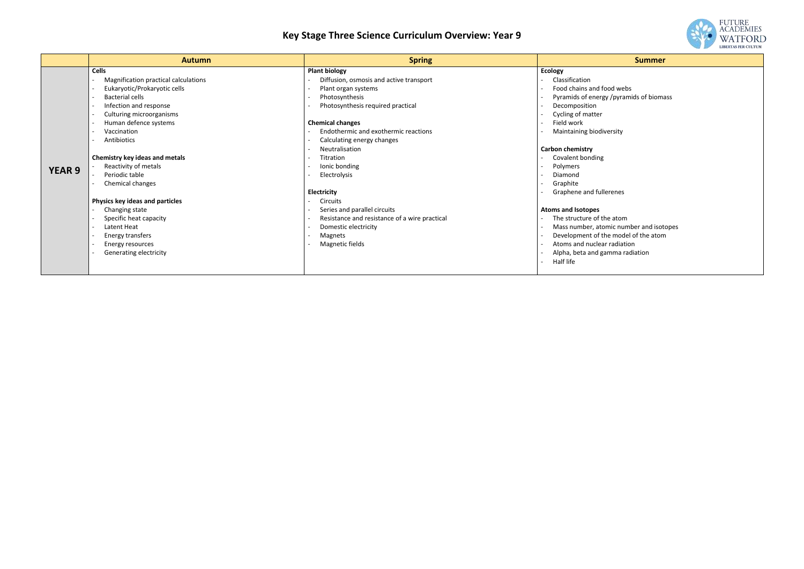# **Key Stage Three Science Curriculum Overview: Year 9**

|               | <b>Autumn</b>                                                                                                                                                                                                                                                                                                                                                                                                                                                                        | <b>Spring</b>                                                                                                                                                                                                                                                                                                                                                                                                                                                                           | <b>Summer</b>                                                                                                                                                                                                                                                                                                                                                                                                                                                                                                               |
|---------------|--------------------------------------------------------------------------------------------------------------------------------------------------------------------------------------------------------------------------------------------------------------------------------------------------------------------------------------------------------------------------------------------------------------------------------------------------------------------------------------|-----------------------------------------------------------------------------------------------------------------------------------------------------------------------------------------------------------------------------------------------------------------------------------------------------------------------------------------------------------------------------------------------------------------------------------------------------------------------------------------|-----------------------------------------------------------------------------------------------------------------------------------------------------------------------------------------------------------------------------------------------------------------------------------------------------------------------------------------------------------------------------------------------------------------------------------------------------------------------------------------------------------------------------|
| <b>YEAR 9</b> | <b>Cells</b><br>Magnification practical calculations<br>Eukaryotic/Prokaryotic cells<br>Bacterial cells<br>Infection and response<br>Culturing microorganisms<br>Human defence systems<br>Vaccination<br>Antibiotics<br>Chemistry key ideas and metals<br>Reactivity of metals<br>Periodic table<br>Chemical changes<br>Physics key ideas and particles<br>Changing state<br>Specific heat capacity<br>Latent Heat<br>Energy transfers<br>Energy resources<br>Generating electricity | <b>Plant biology</b><br>Diffusion, osmosis and active transport<br>Plant organ systems<br>Photosynthesis<br>Photosynthesis required practical<br><b>Chemical changes</b><br>Endothermic and exothermic reactions<br>Calculating energy changes<br>Neutralisation<br>Titration<br>Ionic bonding<br>Electrolysis<br>Electricity<br><b>Circuits</b><br>Series and parallel circuits<br>Resistance and resistance of a wire practical<br>Domestic electricity<br>Magnets<br>Magnetic fields | <b>Ecology</b><br>Classification<br>Food chains and food webs<br>Pyramids of energy /pyramids of bioma<br>Decomposition<br>Cycling of matter<br>Field work<br>Maintaining biodiversity<br><b>Carbon chemistry</b><br>Covalent bonding<br>Polymers<br>Diamond<br>Graphite<br>Graphene and fullerenes<br><b>Atoms and Isotopes</b><br>The structure of the atom<br>Mass number, atomic number and isot<br>Development of the model of the atom<br>Atoms and nuclear radiation<br>Alpha, beta and gamma radiation<br>Half life |
|               |                                                                                                                                                                                                                                                                                                                                                                                                                                                                                      |                                                                                                                                                                                                                                                                                                                                                                                                                                                                                         |                                                                                                                                                                                                                                                                                                                                                                                                                                                                                                                             |



od webs y /pyramids of biomass

e atom mic number and isotopes e model of the atom · radiation mma radiation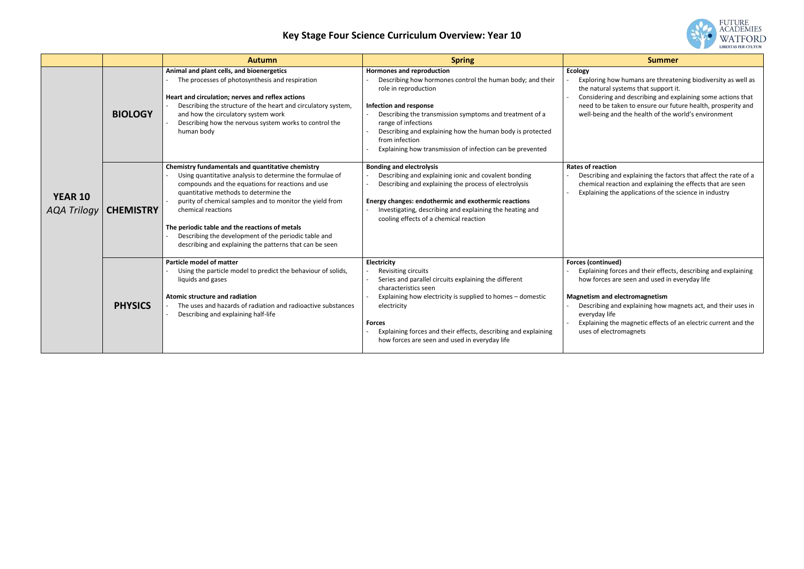## **Key Stage Four Science Curriculum Overview: Year 10**

|                                      |                  | <b>Autumn</b>                                                                                                                                                                                                                                                                                                                                                                                                                                                      | <b>Spring</b>                                                                                                                                                                                                                                                                                                                                                                        | <b>Summer</b>                                                                                                                                                                                                                                                         |
|--------------------------------------|------------------|--------------------------------------------------------------------------------------------------------------------------------------------------------------------------------------------------------------------------------------------------------------------------------------------------------------------------------------------------------------------------------------------------------------------------------------------------------------------|--------------------------------------------------------------------------------------------------------------------------------------------------------------------------------------------------------------------------------------------------------------------------------------------------------------------------------------------------------------------------------------|-----------------------------------------------------------------------------------------------------------------------------------------------------------------------------------------------------------------------------------------------------------------------|
|                                      | <b>BIOLOGY</b>   | Animal and plant cells, and bioenergetics<br>The processes of photosynthesis and respiration<br>Heart and circulation; nerves and reflex actions<br>Describing the structure of the heart and circulatory system,<br>and how the circulatory system work<br>Describing how the nervous system works to control the<br>human body                                                                                                                                   | <b>Hormones and reproduction</b><br>Describing how hormones control the human body; and their<br>role in reproduction<br><b>Infection and response</b><br>Describing the transmission symptoms and treatment of a<br>range of infections<br>Describing and explaining how the human body is protected<br>from infection<br>Explaining how transmission of infection can be prevented | <b>Ecology</b><br>Exploring how humans are threate<br>the natural systems that support it<br>Considering and describing and ex<br>need to be taken to ensure our fut<br>well-being and the health of the w                                                            |
| <b>YEAR 10</b><br><b>AQA Trilogy</b> | <b>CHEMISTRY</b> | Chemistry fundamentals and quantitative chemistry<br>Using quantitative analysis to determine the formulae of<br>compounds and the equations for reactions and use<br>quantitative methods to determine the<br>purity of chemical samples and to monitor the yield from<br>chemical reactions<br>The periodic table and the reactions of metals<br>Describing the development of the periodic table and<br>describing and explaining the patterns that can be seen | <b>Bonding and electrolysis</b><br>Describing and explaining ionic and covalent bonding<br>Describing and explaining the process of electrolysis<br>Energy changes: endothermic and exothermic reactions<br>Investigating, describing and explaining the heating and<br>cooling effects of a chemical reaction                                                                       | <b>Rates of reaction</b><br>Describing and explaining the facto<br>chemical reaction and explaining t<br>Explaining the applications of the s                                                                                                                         |
|                                      | <b>PHYSICS</b>   | Particle model of matter<br>Using the particle model to predict the behaviour of solids,<br>liquids and gases<br><b>Atomic structure and radiation</b><br>The uses and hazards of radiation and radioactive substances<br>Describing and explaining half-life                                                                                                                                                                                                      | Electricity<br>Revisiting circuits<br>Series and parallel circuits explaining the different<br>characteristics seen<br>Explaining how electricity is supplied to homes - domestic<br>electricity<br><b>Forces</b><br>Explaining forces and their effects, describing and explaining<br>how forces are seen and used in everyday life                                                 | <b>Forces (continued)</b><br>Explaining forces and their effects,<br>how forces are seen and used in ev<br><b>Magnetism and electromagnetism</b><br>Describing and explaining how ma<br>everyday life<br>Explaining the magnetic effects of<br>uses of electromagnets |



how humans are threatening biodiversity as well as al systems that support it.

ng and describing and explaining some actions that e taken to ensure our future health, prosperity and gand the health of the world's environment

#### **Rates of reaction**

gand explaining the factors that affect the rate of a reaction and explaining the effects that are seen the applications of the science in industry

### **Rued**)

If forces and their effects, describing and explaining es are seen and used in everyday life

### **Magnetism and electromagnetism**

gand explaining how magnets act, and their uses in life

the magnetic effects of an electric current and the ectromagnets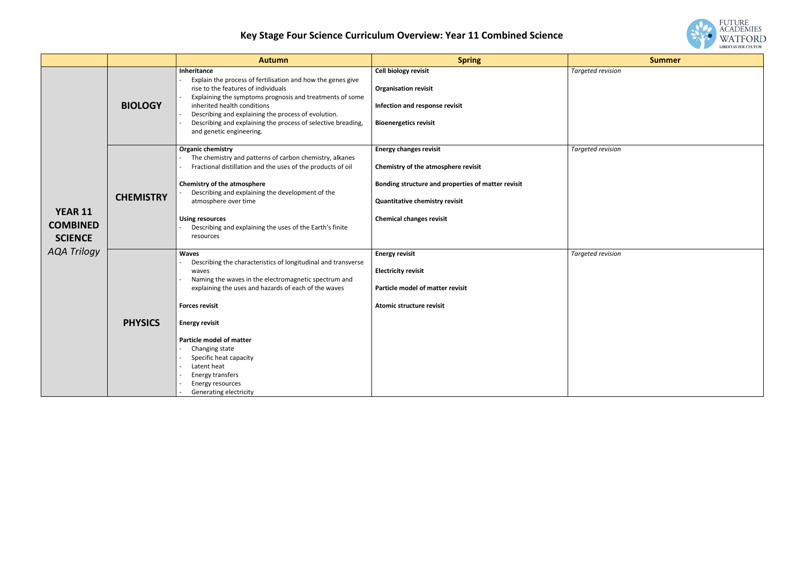# **Key Stage Four Science Curriculum Overview: Year 11 Combined Science**

|                                                     |                  | <b>Autumn</b>                                                                                                                                                                                                                                                                                                                                                                                                                                     | <b>Spring</b>                                                                                                                                                                                          | <b>Summer</b>            |
|-----------------------------------------------------|------------------|---------------------------------------------------------------------------------------------------------------------------------------------------------------------------------------------------------------------------------------------------------------------------------------------------------------------------------------------------------------------------------------------------------------------------------------------------|--------------------------------------------------------------------------------------------------------------------------------------------------------------------------------------------------------|--------------------------|
|                                                     | <b>BIOLOGY</b>   | Inheritance<br>Explain the process of fertilisation and how the genes give<br>rise to the features of individuals<br>Explaining the symptoms prognosis and treatments of some<br>inherited health conditions<br>Describing and explaining the process of evolution.<br>Describing and explaining the process of selective breading,<br>and genetic engineering.                                                                                   | Cell biology revisit<br><b>Organisation revisit</b><br>Infection and response revisit<br><b>Bioenergetics revisit</b>                                                                                  | <b>Targeted revision</b> |
| <b>YEAR 11</b><br><b>COMBINED</b><br><b>SCIENCE</b> | <b>CHEMISTRY</b> | <b>Organic chemistry</b><br>The chemistry and patterns of carbon chemistry, alkanes<br>Fractional distillation and the uses of the products of oil<br>Chemistry of the atmosphere<br>Describing and explaining the development of the<br>atmosphere over time<br><b>Using resources</b><br>Describing and explaining the uses of the Earth's finite<br>resources                                                                                  | <b>Energy changes revisit</b><br>Chemistry of the atmosphere revisit<br>Bonding structure and properties of matter revisit<br><b>Quantitative chemistry revisit</b><br><b>Chemical changes revisit</b> | <b>Targeted revision</b> |
| <b>AQA Trilogy</b>                                  | <b>PHYSICS</b>   | <b>Waves</b><br>Describing the characteristics of longitudinal and transverse<br>waves<br>Naming the waves in the electromagnetic spectrum and<br>$\blacksquare$<br>explaining the uses and hazards of each of the waves<br><b>Forces revisit</b><br><b>Energy revisit</b><br><b>Particle model of matter</b><br>Changing state<br>Specific heat capacity<br>Latent heat<br>Energy transfers<br>Energy resources<br><b>Generating electricity</b> | <b>Energy revisit</b><br><b>Electricity revisit</b><br>Particle model of matter revisit<br>Atomic structure revisit                                                                                    | <b>Targeted revision</b> |

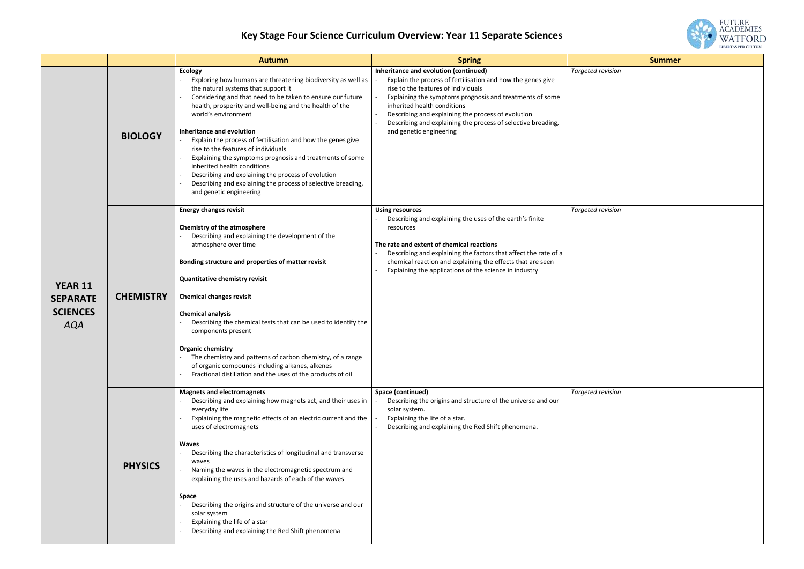# **Key Stage Four Science Curriculum Overview: Year 11 Separate Sciences**

|                                                                    |                  | <b>Autumn</b>                                                                                                                                                                                                                                                                                                                                                                                                                                                                                                                                                                                                                                        | <b>Spring</b>                                                                                                                                                                                                                                                                                                                                                                           | <b>Summer</b>            |
|--------------------------------------------------------------------|------------------|------------------------------------------------------------------------------------------------------------------------------------------------------------------------------------------------------------------------------------------------------------------------------------------------------------------------------------------------------------------------------------------------------------------------------------------------------------------------------------------------------------------------------------------------------------------------------------------------------------------------------------------------------|-----------------------------------------------------------------------------------------------------------------------------------------------------------------------------------------------------------------------------------------------------------------------------------------------------------------------------------------------------------------------------------------|--------------------------|
|                                                                    | <b>BIOLOGY</b>   | <b>Ecology</b><br>Exploring how humans are threatening biodiversity as well as<br>the natural systems that support it<br>Considering and that need to be taken to ensure our future<br>health, prosperity and well-being and the health of the<br>world's environment<br>Inheritance and evolution<br>Explain the process of fertilisation and how the genes give<br>rise to the features of individuals<br>Explaining the symptoms prognosis and treatments of some<br>inherited health conditions<br>Describing and explaining the process of evolution<br>Describing and explaining the process of selective breading,<br>and genetic engineering | Inheritance and evolution (continued)<br>Explain the process of fertilisation and how the genes give<br>rise to the features of individuals<br>Explaining the symptoms prognosis and treatments of some<br>inherited health conditions<br>Describing and explaining the process of evolution<br>Describing and explaining the process of selective breading,<br>and genetic engineering | <b>Targeted revision</b> |
| <b>YEAR 11</b><br><b>SEPARATE</b><br><b>SCIENCES</b><br><b>AQA</b> | <b>CHEMISTRY</b> | <b>Energy changes revisit</b><br><b>Chemistry of the atmosphere</b><br>Describing and explaining the development of the<br>atmosphere over time<br>Bonding structure and properties of matter revisit<br><b>Quantitative chemistry revisit</b><br><b>Chemical changes revisit</b><br><b>Chemical analysis</b><br>Describing the chemical tests that can be used to identify the<br>components present<br><b>Organic chemistry</b><br>The chemistry and patterns of carbon chemistry, of a range<br>of organic compounds including alkanes, alkenes<br>Fractional distillation and the uses of the products of oil                                    | <b>Using resources</b><br>Describing and explaining the uses of the earth's finite<br>resources<br>The rate and extent of chemical reactions<br>Describing and explaining the factors that affect the rate of a<br>chemical reaction and explaining the effects that are seen<br>Explaining the applications of the science in industry                                                 | <b>Targeted revision</b> |
|                                                                    | <b>PHYSICS</b>   | <b>Magnets and electromagnets</b><br>Describing and explaining how magnets act, and their uses in<br>everyday life<br>Explaining the magnetic effects of an electric current and the<br>uses of electromagnets<br><b>Waves</b><br>Describing the characteristics of longitudinal and transverse<br>waves<br>Naming the waves in the electromagnetic spectrum and<br>explaining the uses and hazards of each of the waves<br>Space<br>Describing the origins and structure of the universe and our<br>solar system<br>Explaining the life of a star<br>Describing and explaining the Red Shift phenomena                                              | Space (continued)<br>Describing the origins and structure of the universe and our<br>solar system.<br>Explaining the life of a star.<br>Describing and explaining the Red Shift phenomena.                                                                                                                                                                                              | Targeted revision        |